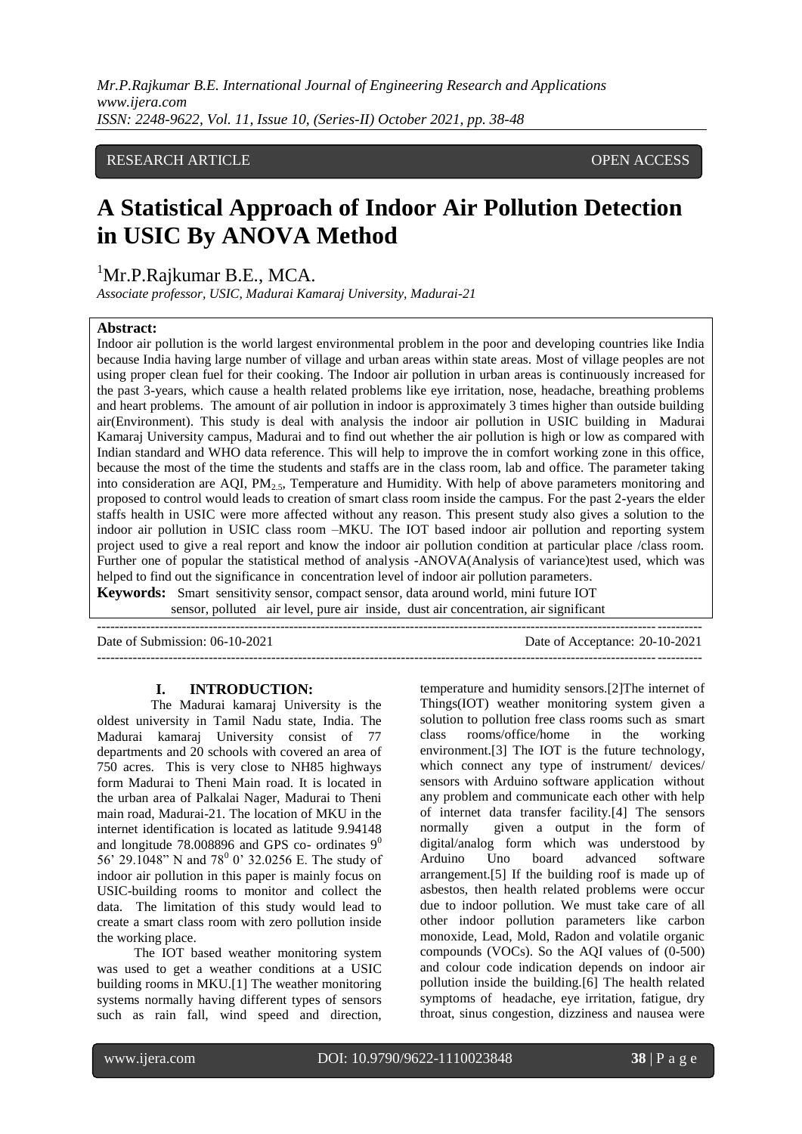#### RESEARCH ARTICLE **CONSERVERS** OPEN ACCESS

## **A Statistical Approach of Indoor Air Pollution Detection in USIC By ANOVA Method**

### ${}^{1}$ Mr.P.Rajkumar B.E., MCA.

*Associate professor, USIC, Madurai Kamaraj University, Madurai-21*

#### **Abstract:**

Indoor air pollution is the world largest environmental problem in the poor and developing countries like India because India having large number of village and urban areas within state areas. Most of village peoples are not using proper clean fuel for their cooking. The Indoor air pollution in urban areas is continuously increased for the past 3-years, which cause a health related problems like eye irritation, nose, headache, breathing problems and heart problems. The amount of air pollution in indoor is approximately 3 times higher than outside building air(Environment). This study is deal with analysis the indoor air pollution in USIC building in Madurai Kamaraj University campus, Madurai and to find out whether the air pollution is high or low as compared with Indian standard and WHO data reference. This will help to improve the in comfort working zone in this office, because the most of the time the students and staffs are in the class room, lab and office. The parameter taking into consideration are AOI,  $PM<sub>2.5</sub>$ , Temperature and Humidity. With help of above parameters monitoring and proposed to control would leads to creation of smart class room inside the campus. For the past 2-years the elder staffs health in USIC were more affected without any reason. This present study also gives a solution to the indoor air pollution in USIC class room –MKU. The IOT based indoor air pollution and reporting system project used to give a real report and know the indoor air pollution condition at particular place /class room. Further one of popular the statistical method of analysis -ANOVA(Analysis of variance)test used, which was helped to find out the significance in concentration level of indoor air pollution parameters.

**Keywords:** Smart sensitivity sensor, compact sensor, data around world, mini future IOT sensor, polluted air level, pure air inside, dust air concentration, air significant

--------------------------------------------------------------------------------------------------------------------------------------- Date of Submission: 06-10-2021 Date of Acceptance: 20-10-2021

 $-1-\frac{1}{2}$ 

#### **I. INTRODUCTION:**

 The Madurai kamaraj University is the oldest university in Tamil Nadu state, India. The Madurai kamaraj University consist of 77 departments and 20 schools with covered an area of 750 acres. This is very close to NH85 highways form Madurai to Theni Main road. It is located in the urban area of Palkalai Nager, Madurai to Theni main road, Madurai-21. The location of MKU in the internet identification is located as latitude 9.94148 and longitude 78.008896 and GPS co- ordinates  $9^0$ 56' 29.1048" N and 78<sup>0</sup> 0' 32.0256 E. The study of indoor air pollution in this paper is mainly focus on USIC-building rooms to monitor and collect the data. The limitation of this study would lead to create a smart class room with zero pollution inside the working place.

 The IOT based weather monitoring system was used to get a weather conditions at a USIC building rooms in MKU.[1] The weather monitoring systems normally having different types of sensors such as rain fall, wind speed and direction, temperature and humidity sensors.[2]The internet of Things(IOT) weather monitoring system given a solution to pollution free class rooms such as smart class rooms/office/home in the working environment.[3] The IOT is the future technology, which connect any type of instrument/ devices/ sensors with Arduino software application without any problem and communicate each other with help of internet data transfer facility.[4] The sensors normally given a output in the form of digital/analog form which was understood by Arduino Uno board advanced software arrangement.[5] If the building roof is made up of asbestos, then health related problems were occur due to indoor pollution. We must take care of all other indoor pollution parameters like carbon monoxide, Lead, Mold, Radon and volatile organic compounds (VOCs). So the AQI values of (0-500) and colour code indication depends on indoor air pollution inside the building.[6] The health related symptoms of headache, eye irritation, fatigue, dry throat, sinus congestion, dizziness and nausea were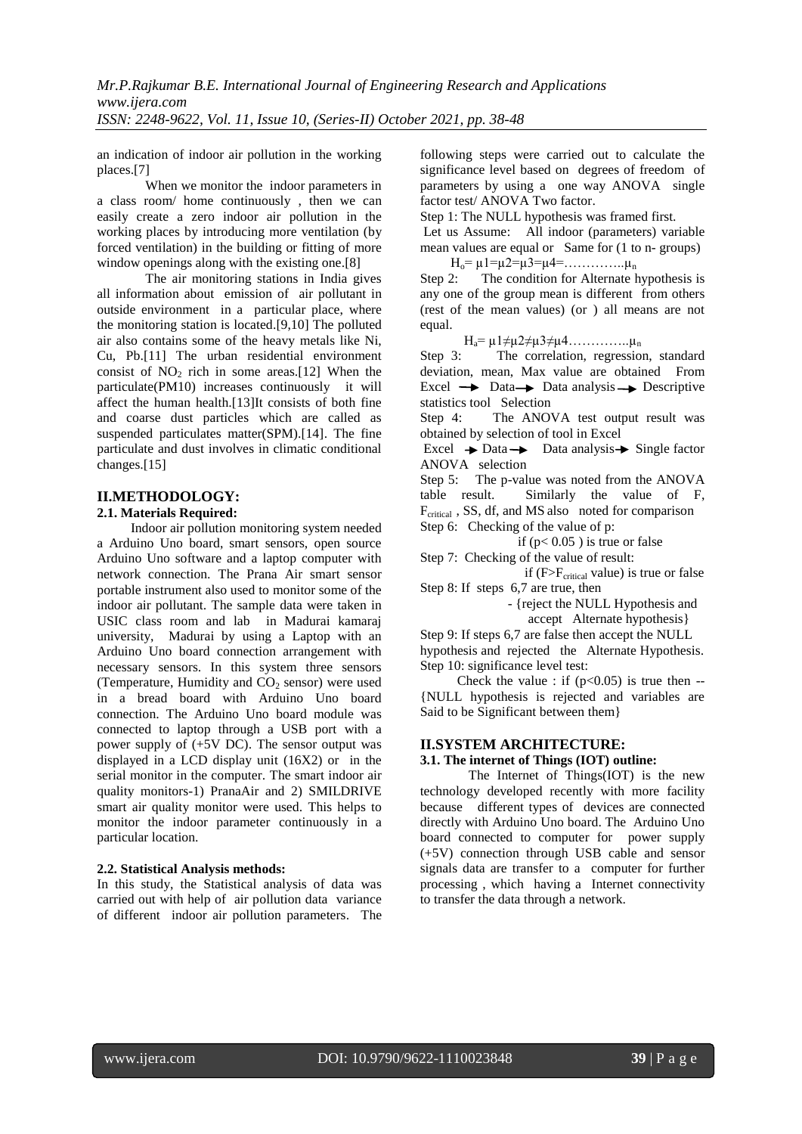an indication of indoor air pollution in the working places.[7]

When we monitor the indoor parameters in a class room/ home continuously , then we can easily create a zero indoor air pollution in the working places by introducing more ventilation (by forced ventilation) in the building or fitting of more window openings along with the existing one.<sup>[8]</sup>

The air monitoring stations in India gives all information about emission of air pollutant in outside environment in a particular place, where the monitoring station is located.[9,10] The polluted air also contains some of the heavy metals like Ni, Cu, Pb.[11] The urban residential environment consist of  $NO<sub>2</sub>$  rich in some areas.[12] When the particulate(PM10) increases continuously it will affect the human health.[13]It consists of both fine and coarse dust particles which are called as suspended particulates matter(SPM).[14]. The fine particulate and dust involves in climatic conditional changes.[15]

#### **II.METHODOLOGY:**

#### **2.1. Materials Required:**

 Indoor air pollution monitoring system needed a Arduino Uno board, smart sensors, open source Arduino Uno software and a laptop computer with network connection. The Prana Air smart sensor portable instrument also used to monitor some of the indoor air pollutant. The sample data were taken in USIC class room and lab in Madurai kamaraj university, Madurai by using a Laptop with an Arduino Uno board connection arrangement with necessary sensors. In this system three sensors (Temperature, Humidity and  $CO<sub>2</sub>$  sensor) were used in a bread board with Arduino Uno board connection. The Arduino Uno board module was connected to laptop through a USB port with a power supply of (+5V DC). The sensor output was displayed in a LCD display unit (16X2) or in the serial monitor in the computer. The smart indoor air quality monitors-1) PranaAir and 2) SMILDRIVE smart air quality monitor were used. This helps to monitor the indoor parameter continuously in a particular location.

#### **2.2. Statistical Analysis methods:**

In this study, the Statistical analysis of data was carried out with help of air pollution data variance of different indoor air pollution parameters. The following steps were carried out to calculate the significance level based on degrees of freedom of parameters by using a one way ANOVA single factor test/ ANOVA Two factor.

Step 1: The NULL hypothesis was framed first.

Let us Assume: All indoor (parameters) variable mean values are equal or Same for (1 to n- groups)

 $H_0$ =  $\mu$ 1= $\mu$ 2= $\mu$ 3= $\mu$ 4=…………… $\mu$ <sub>n</sub>

Step 2: The condition for Alternate hypothesis is any one of the group mean is different from others (rest of the mean values) (or ) all means are not equal.

 $H<sub>a</sub>=\mu 1 \neq \mu 2 \neq \mu 3 \neq \mu 4$ …………… $\mu_{n}$ 

Step 3: The correlation, regression, standard deviation, mean, Max value are obtained From Excel  $\rightarrow$  Data  $\rightarrow$  Data analysis  $\rightarrow$  Descriptive statistics tool Selection

Step 4: The ANOVA test output result was obtained by selection of tool in Excel

Excel  $\rightarrow$  Data  $\rightarrow$  Data analysis  $\rightarrow$  Single factor ANOVA selection

Step 5: The p-value was noted from the ANOVA table result. Similarly the value of F,  $F_{critical}$ , SS, df, and MS also noted for comparison Step 6: Checking of the value of p:

if ( $p < 0.05$ ) is true or false

Step 7: Checking of the value of result:

if  $(F>F_{critical}$  value) is true or false Step 8: If steps 6,7 are true, then

- {reject the NULL Hypothesis and

accept Alternate hypothesis}

Step 9: If steps 6,7 are false then accept the NULL hypothesis and rejected the Alternate Hypothesis. Step 10: significance level test:

Check the value : if  $(p<0.05)$  is true then --{NULL hypothesis is rejected and variables are Said to be Significant between them}

#### **II.SYSTEM ARCHITECTURE:**

#### **3.1. The internet of Things (IOT) outline:**

The Internet of Things(IOT) is the new technology developed recently with more facility because different types of devices are connected directly with Arduino Uno board. The Arduino Uno board connected to computer for power supply (+5V) connection through USB cable and sensor signals data are transfer to a computer for further processing , which having a Internet connectivity to transfer the data through a network.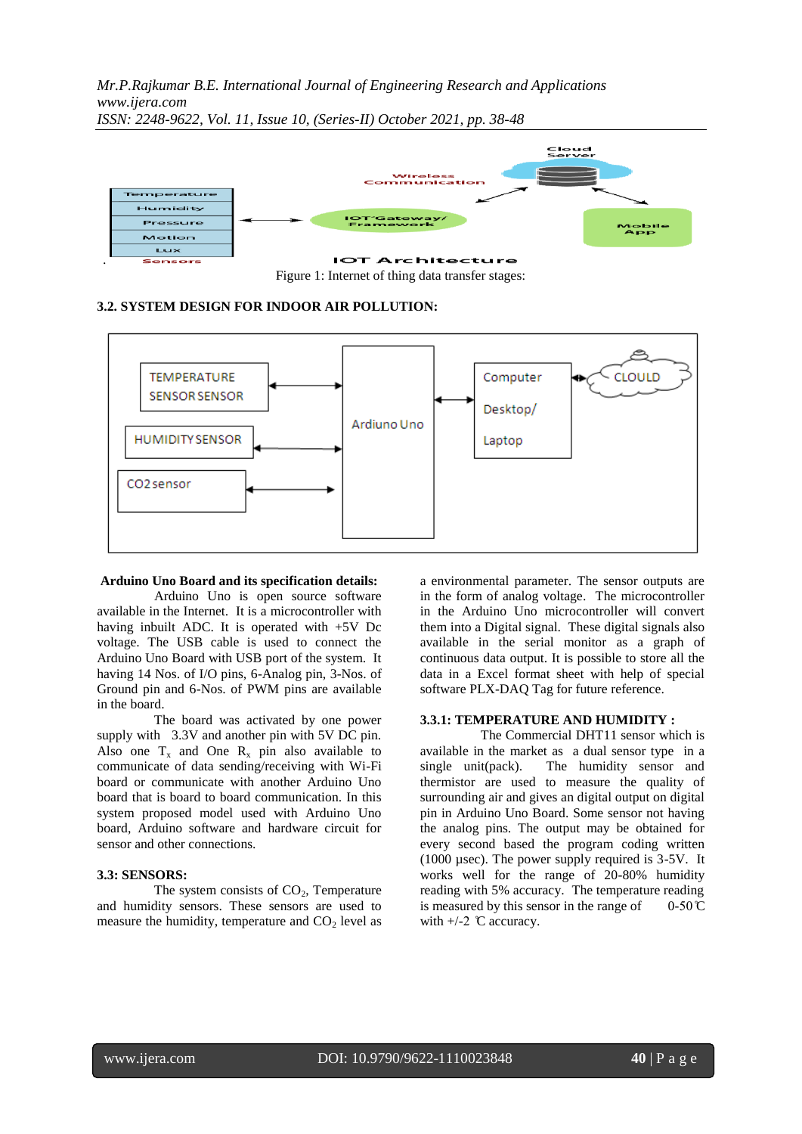

Figure 1: Internet of thing data transfer stages:

#### **3.2. SYSTEM DESIGN FOR INDOOR AIR POLLUTION:**



#### **Arduino Uno Board and its specification details:**

 Arduino Uno is open source software available in the Internet. It is a microcontroller with having inbuilt ADC. It is operated with +5V Dc voltage. The USB cable is used to connect the Arduino Uno Board with USB port of the system. It having 14 Nos. of I/O pins, 6-Analog pin, 3-Nos. of Ground pin and 6-Nos. of PWM pins are available in the board.

 The board was activated by one power supply with 3.3V and another pin with 5V DC pin. Also one  $T_x$  and One  $R_x$  pin also available to communicate of data sending/receiving with Wi-Fi board or communicate with another Arduino Uno board that is board to board communication. In this system proposed model used with Arduino Uno board, Arduino software and hardware circuit for sensor and other connections.

#### **3.3: SENSORS:**

The system consists of  $CO<sub>2</sub>$ , Temperature and humidity sensors. These sensors are used to measure the humidity, temperature and  $CO<sub>2</sub>$  level as a environmental parameter. The sensor outputs are in the form of analog voltage. The microcontroller in the Arduino Uno microcontroller will convert them into a Digital signal. These digital signals also available in the serial monitor as a graph of continuous data output. It is possible to store all the data in a Excel format sheet with help of special software PLX-DAQ Tag for future reference.

#### **3.3.1: TEMPERATURE AND HUMIDITY :**

 The Commercial DHT11 sensor which is available in the market as a dual sensor type in a single unit(pack). The humidity sensor and thermistor are used to measure the quality of surrounding air and gives an digital output on digital pin in Arduino Uno Board. Some sensor not having the analog pins. The output may be obtained for every second based the program coding written (1000 µsec). The power supply required is 3-5V. It works well for the range of 20-80% humidity reading with 5% accuracy. The temperature reading is measured by this sensor in the range of  $0-50 \degree$ C with  $+/-2$  °C accuracy.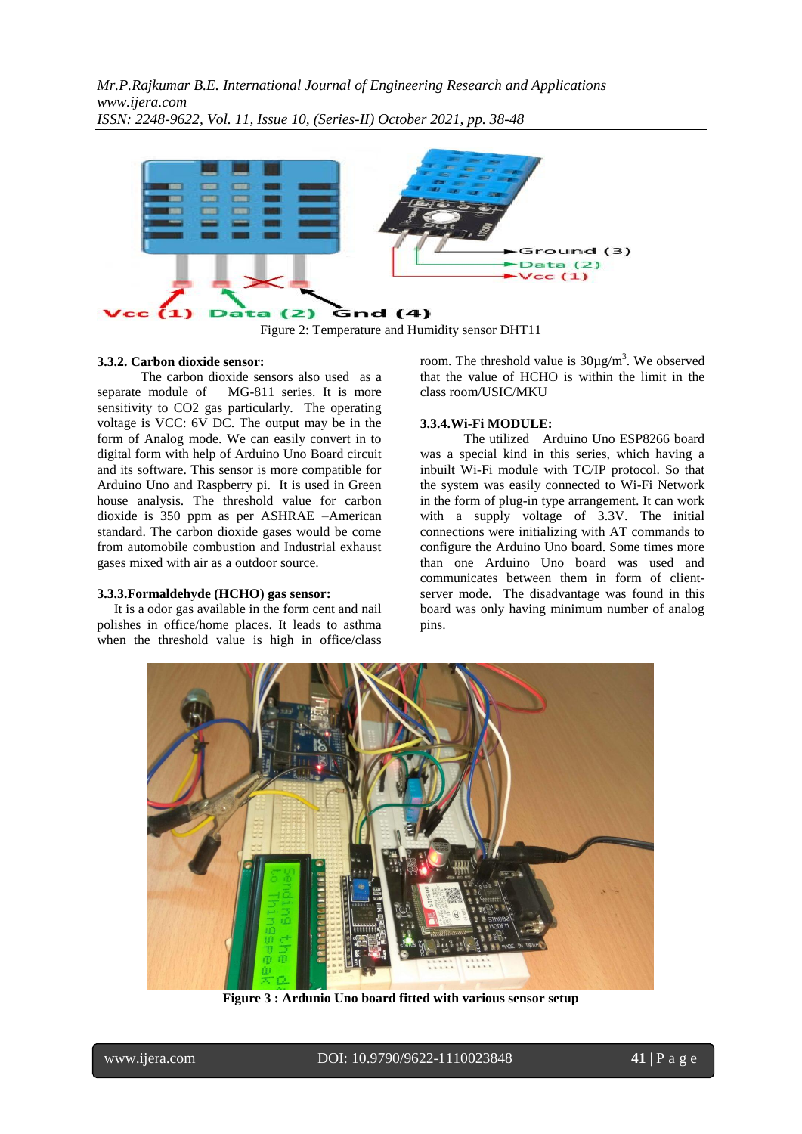

Figure 2: Temperature and Humidity sensor DHT11

#### **3.3.2. Carbon dioxide sensor:**

 The carbon dioxide sensors also used as a separate module of MG-811 series. It is more sensitivity to CO2 gas particularly. The operating voltage is VCC: 6V DC. The output may be in the form of Analog mode. We can easily convert in to digital form with help of Arduino Uno Board circuit and its software. This sensor is more compatible for Arduino Uno and Raspberry pi. It is used in Green house analysis. The threshold value for carbon dioxide is 350 ppm as per ASHRAE –American standard. The carbon dioxide gases would be come from automobile combustion and Industrial exhaust gases mixed with air as a outdoor source.

#### **3.3.3.Formaldehyde (HCHO) gas sensor:**

 It is a odor gas available in the form cent and nail polishes in office/home places. It leads to asthma when the threshold value is high in office/class

room. The threshold value is  $30\mu g/m<sup>3</sup>$ . We observed that the value of HCHO is within the limit in the class room/USIC/MKU

#### **3.3.4.Wi-Fi MODULE:**

 The utilized Arduino Uno ESP8266 board was a special kind in this series, which having a inbuilt Wi-Fi module with TC/IP protocol. So that the system was easily connected to Wi-Fi Network in the form of plug-in type arrangement. It can work with a supply voltage of 3.3V. The initial connections were initializing with AT commands to configure the Arduino Uno board. Some times more than one Arduino Uno board was used and communicates between them in form of clientserver mode. The disadvantage was found in this board was only having minimum number of analog pins.



**Figure 3 : Ardunio Uno board fitted with various sensor setup**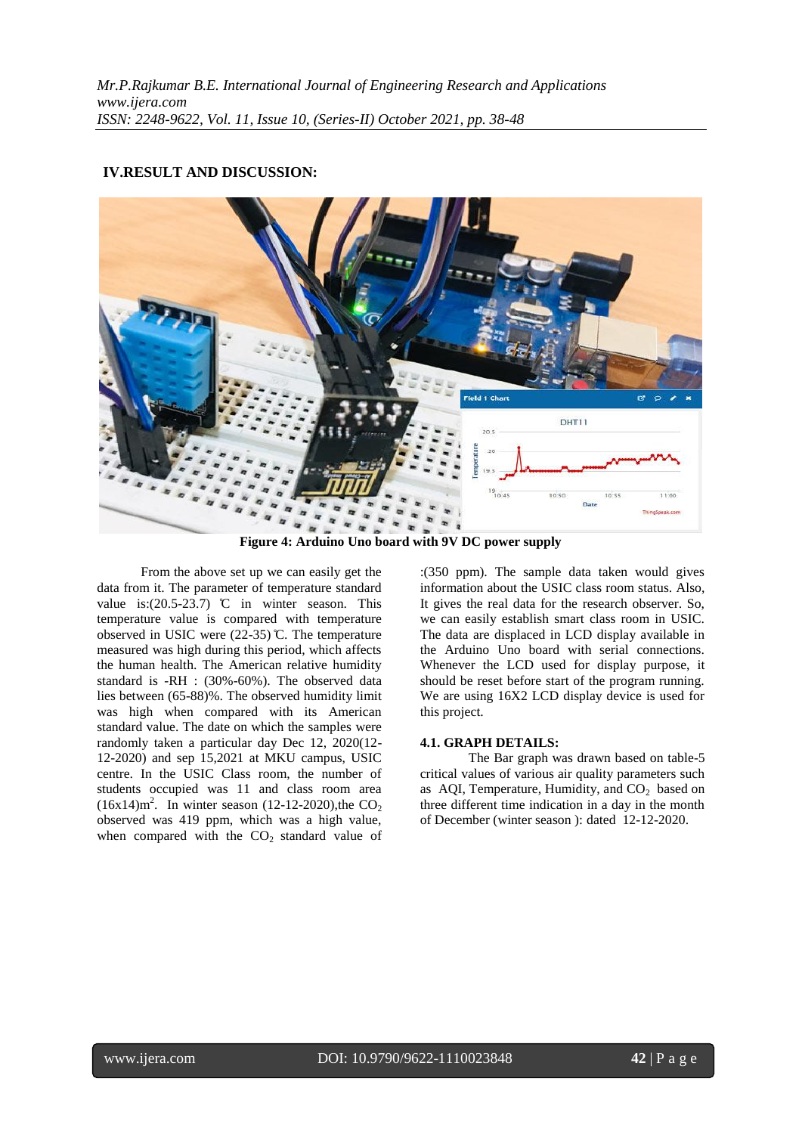# ield 1 Chart n.  $\circ$ DHT11 Bata

#### **IV.RESULT AND DISCUSSION:**

**Figure 4: Arduino Uno board with 9V DC power supply**

 From the above set up we can easily get the data from it. The parameter of temperature standard value is: $(20.5-23.7)$  °C in winter season. This temperature value is compared with temperature observed in USIC were (22-35) ̊C. The temperature measured was high during this period, which affects the human health. The American relative humidity standard is -RH : (30%-60%). The observed data lies between (65-88)%. The observed humidity limit was high when compared with its American standard value. The date on which the samples were randomly taken a particular day Dec 12, 2020(12- 12-2020) and sep 15,2021 at MKU campus, USIC centre. In the USIC Class room, the number of students occupied was 11 and class room area  $(16x14)m^2$ . In winter season (12-12-2020), the CO<sub>2</sub> observed was 419 ppm, which was a high value, when compared with the  $CO<sub>2</sub>$  standard value of :(350 ppm). The sample data taken would gives information about the USIC class room status. Also, It gives the real data for the research observer. So, we can easily establish smart class room in USIC. The data are displaced in LCD display available in the Arduino Uno board with serial connections. Whenever the LCD used for display purpose, it should be reset before start of the program running. We are using 16X2 LCD display device is used for this project.

#### **4.1. GRAPH DETAILS:**

The Bar graph was drawn based on table-5 critical values of various air quality parameters such as AOI, Temperature, Humidity, and  $CO<sub>2</sub>$  based on three different time indication in a day in the month of December (winter season ): dated 12-12-2020.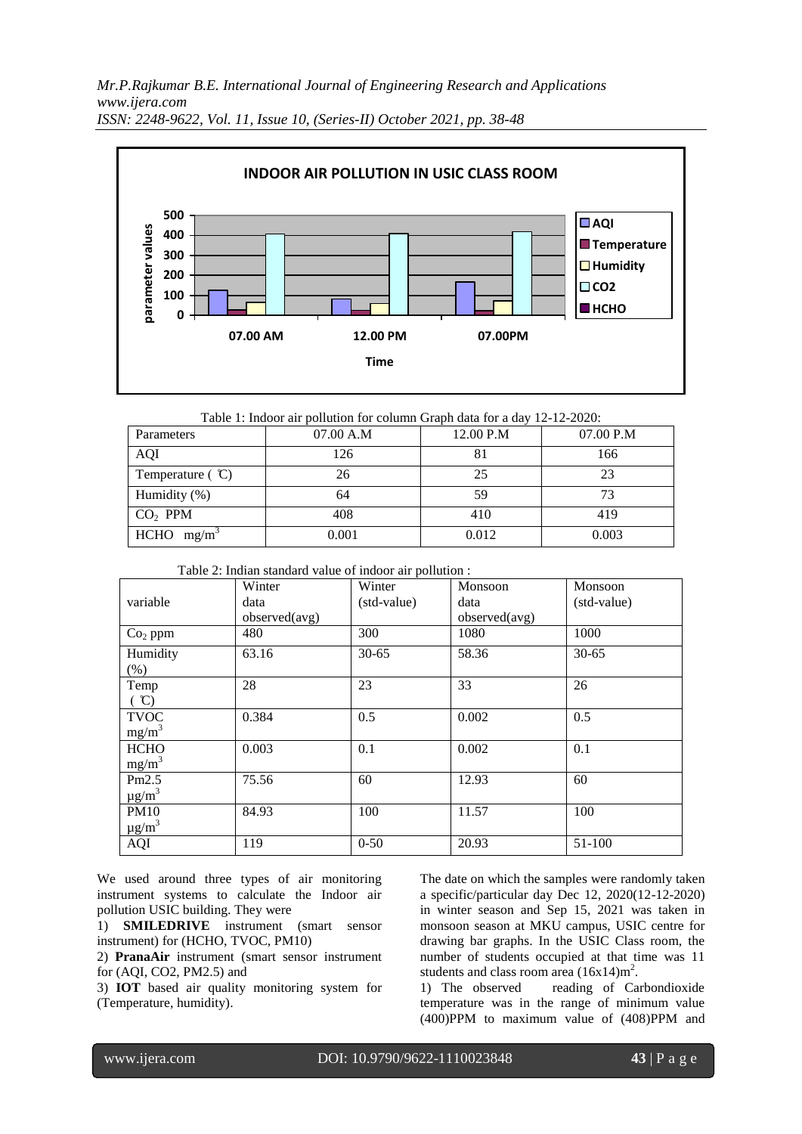

Table 1: Indoor air pollution for column Graph data for a day 12-12-2020:

| Parameters               | 07.00 A.M | 12.00 P.M | 07.00 P.M |
|--------------------------|-----------|-----------|-----------|
| <b>AQI</b>               | 126       | ŏΙ        | 166       |
| Temperature $({\cal C})$ | 26        | 25        | 23        |
| Humidity $(\%)$          | 64        | 59        |           |
| $CO2$ PPM                | 408       | 410       | 419       |
| <b>HCHO</b><br>$mg/m^3$  | 0.001     | 0.012     | 0.003     |

Table 2: Indian standard value of indoor air pollution :

|                        | Winter        | Winter      | Monsoon       | Monsoon     |
|------------------------|---------------|-------------|---------------|-------------|
| variable               | data          | (std-value) | data          | (std-value) |
|                        | observed(avg) |             | observed(avg) |             |
| $Co2$ ppm              | 480           | 300         | 1080          | 1000        |
| Humidity               | 63.16         | $30 - 65$   | 58.36         | $30 - 65$   |
| $(\% )$                |               |             |               |             |
| Temp                   | 28            | 23          | 33            | 26          |
| $\hat{C}$              |               |             |               |             |
| <b>TVOC</b>            | 0.384         | 0.5         | 0.002         | 0.5         |
| $mg/m^3$               |               |             |               |             |
| <b>HCHO</b>            | 0.003         | 0.1         | 0.002         | 0.1         |
| $mg/m^3$               |               |             |               |             |
| Pm2.5                  | 75.56         | 60          | 12.93         | 60          |
| $\mu$ g/m <sup>3</sup> |               |             |               |             |
| <b>PM10</b>            | 84.93         | 100         | 11.57         | 100         |
| $\mu$ g/m <sup>3</sup> |               |             |               |             |
| AQI                    | 119           | $0 - 50$    | 20.93         | 51-100      |

We used around three types of air monitoring instrument systems to calculate the Indoor air pollution USIC building. They were

1) **SMILEDRIVE** instrument (smart sensor instrument) for (HCHO, TVOC, PM10)

2) **PranaAir** instrument (smart sensor instrument for (AQI, CO2, PM2.5) and

3) **IOT** based air quality monitoring system for (Temperature, humidity).

The date on which the samples were randomly taken a specific/particular day Dec 12, 2020(12-12-2020) in winter season and Sep 15, 2021 was taken in monsoon season at MKU campus, USIC centre for drawing bar graphs. In the USIC Class room, the number of students occupied at that time was 11 students and class room area  $(16x14)m^2$ .

1) The observed reading of Carbondioxide temperature was in the range of minimum value (400)PPM to maximum value of (408)PPM and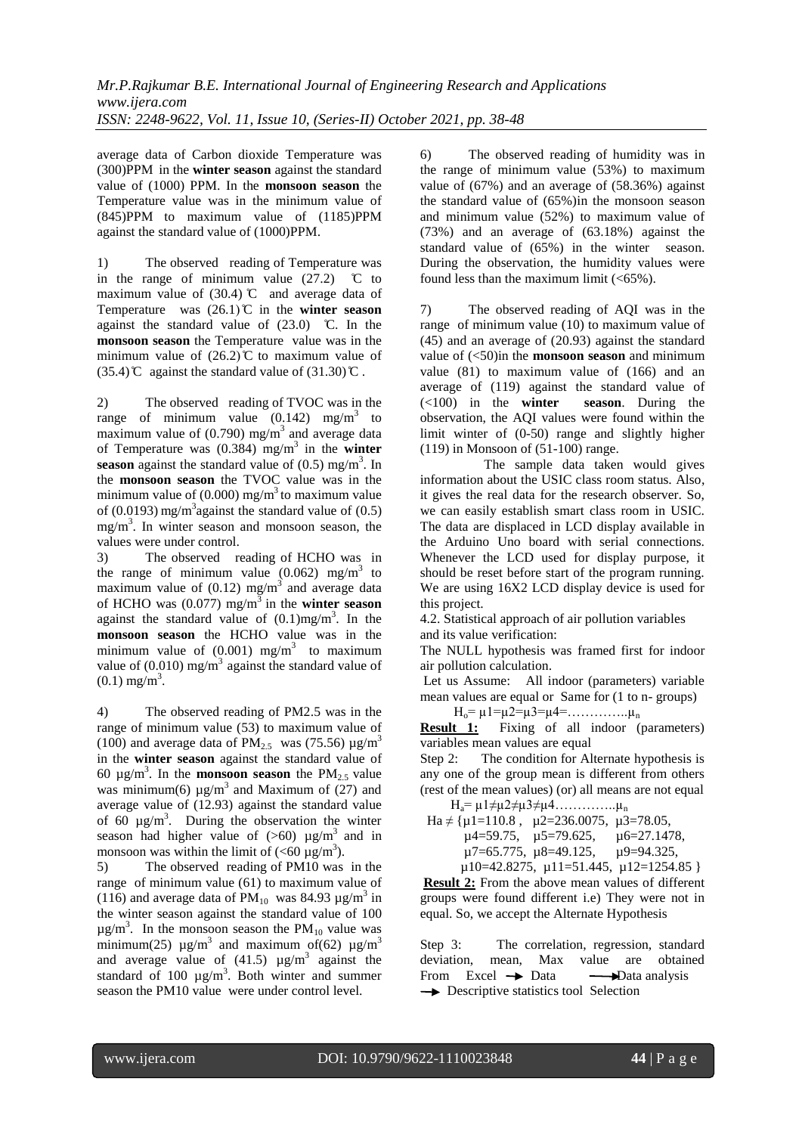average data of Carbon dioxide Temperature was (300)PPM in the **winter season** against the standard value of (1000) PPM. In the **monsoon season** the Temperature value was in the minimum value of (845)PPM to maximum value of (1185)PPM against the standard value of (1000)PPM.

1) The observed reading of Temperature was in the range of minimum value  $(27.2)$  °C to maximum value of (30.4)  $\mathbb{C}$  and average data of Temperature was  $(26.1)$ °C in the **winter season** against the standard value of  $(23.0)$  °C. In the **monsoon season** the Temperature value was in the minimum value of  $(26.2)$ °C to maximum value of  $(35.4)$ °C against the standard value of  $(31.30)$ °C.

2) The observed reading of TVOC was in the range of minimum value  $(0.142)$  mg/m<sup>3</sup> to maximum value of  $(0.790)$  mg/m<sup>3</sup> and average data of Temperature was (0.384) mg/m 3 in the **winter season** against the standard value of  $(0.5)$  mg/m<sup>3</sup>. In the **monsoon season** the TVOC value was in the minimum value of (0.000) mg/m<sup>3</sup> to maximum value of  $(0.0193)$  mg/m<sup>3</sup> against the standard value of  $(0.5)$ mg/m<sup>3</sup> . In winter season and monsoon season, the values were under control.

3) The observed reading of HCHO was in the range of minimum value  $(0.062)$  mg/m<sup>3</sup> to maximum value of  $(0.12)$  mg/m<sup>3</sup> and average data of HCHO was  $(0.077)$  mg/m<sup>3</sup> in the **winter season** against the standard value of  $(0.1)$ mg/m<sup>3</sup>. In the **monsoon season** the HCHO value was in the minimum value of  $(0.001)$  mg/m<sup>3</sup> to maximum value of  $(0.010)$  mg/m<sup>3</sup> against the standard value of  $(0.1)$  mg/m<sup>3</sup>.

4) The observed reading of PM2.5 was in the range of minimum value (53) to maximum value of (100) and average data of  $PM_{2.5}$  was (75.56)  $\mu$ g/m<sup>3</sup> in the **winter season** against the standard value of 60  $\mu$ g/m<sup>3</sup>. In the **monsoon season** the PM<sub>2.5</sub> value was minimum(6)  $\mu$ g/m<sup>3</sup> and Maximum of (27) and average value of (12.93) against the standard value of  $60 \mu g/m^3$ . During the observation the winter season had higher value of  $(>60)$  ug/m<sup>3</sup> and in monsoon was within the limit of  $( $60 \mu g/m^3$ ).$ 

5) The observed reading of PM10 was in the range of minimum value (61) to maximum value of (116) and average data of  $PM_{10}$  was 84.93  $\mu$ g/m<sup>3</sup> in the winter season against the standard value of 100  $\mu$ g/m<sup>3</sup>. In the monsoon season the PM<sub>10</sub> value was minimum(25)  $\mu$ g/m<sup>3</sup> and maximum of(62)  $\mu$ g/m<sup>3</sup> and average value of  $(41.5)$   $\mu$ g/m<sup>3</sup> against the standard of 100  $\mu$ g/m<sup>3</sup>. Both winter and summer season the PM10 value were under control level.

6) The observed reading of humidity was in the range of minimum value (53%) to maximum value of (67%) and an average of (58.36%) against the standard value of (65%)in the monsoon season and minimum value (52%) to maximum value of (73%) and an average of (63.18%) against the standard value of (65%) in the winter season. During the observation, the humidity values were found less than the maximum limit  $(<65\%$ ).

7) The observed reading of AQI was in the range of minimum value (10) to maximum value of (45) and an average of (20.93) against the standard value of (<50)in the **monsoon season** and minimum value (81) to maximum value of (166) and an average of (119) against the standard value of (<100) in the **winter season**. During the observation, the AQI values were found within the limit winter of (0-50) range and slightly higher (119) in Monsoon of (51-100) range.

 The sample data taken would gives information about the USIC class room status. Also, it gives the real data for the research observer. So, we can easily establish smart class room in USIC. The data are displaced in LCD display available in the Arduino Uno board with serial connections. Whenever the LCD used for display purpose, it should be reset before start of the program running. We are using 16X2 LCD display device is used for this project.

4.2. Statistical approach of air pollution variables and its value verification:

The NULL hypothesis was framed first for indoor air pollution calculation.

Let us Assume: All indoor (parameters) variable mean values are equal or Same for (1 to n- groups)

 $H_0$ =  $\mu$ 1= $\mu$ 2= $\mu$ 3= $\mu$ 4=…………… $\mu$ <sub>n</sub>

**Result 1:** Fixing of all indoor (parameters) variables mean values are equal

Step 2: The condition for Alternate hypothesis is any one of the group mean is different from others (rest of the mean values) (or) all means are not equal

 $H_a = \mu 1 \neq \mu 2 \neq \mu 3 \neq \mu 4$ …………… $\mu_n$ 

Ha  $\neq$  { $\mu$ 1=110.8,  $\mu$ 2=236.0075,  $\mu$ 3=78.05, µ4=59.75, µ5=79.625, µ6=27.1478, µ7=65.775, µ8=49.125, µ9=94.325, µ10=42.8275, µ11=51.445, µ12=1254.85 }

**Result 2:** From the above mean values of different groups were found different i.e) They were not in equal. So, we accept the Alternate Hypothesis

Step 3: The correlation, regression, standard deviation, mean, Max value are obtained From Excel  $\rightarrow$  Data  $\rightarrow$  Data analysis  $\rightarrow$  Descriptive statistics tool Selection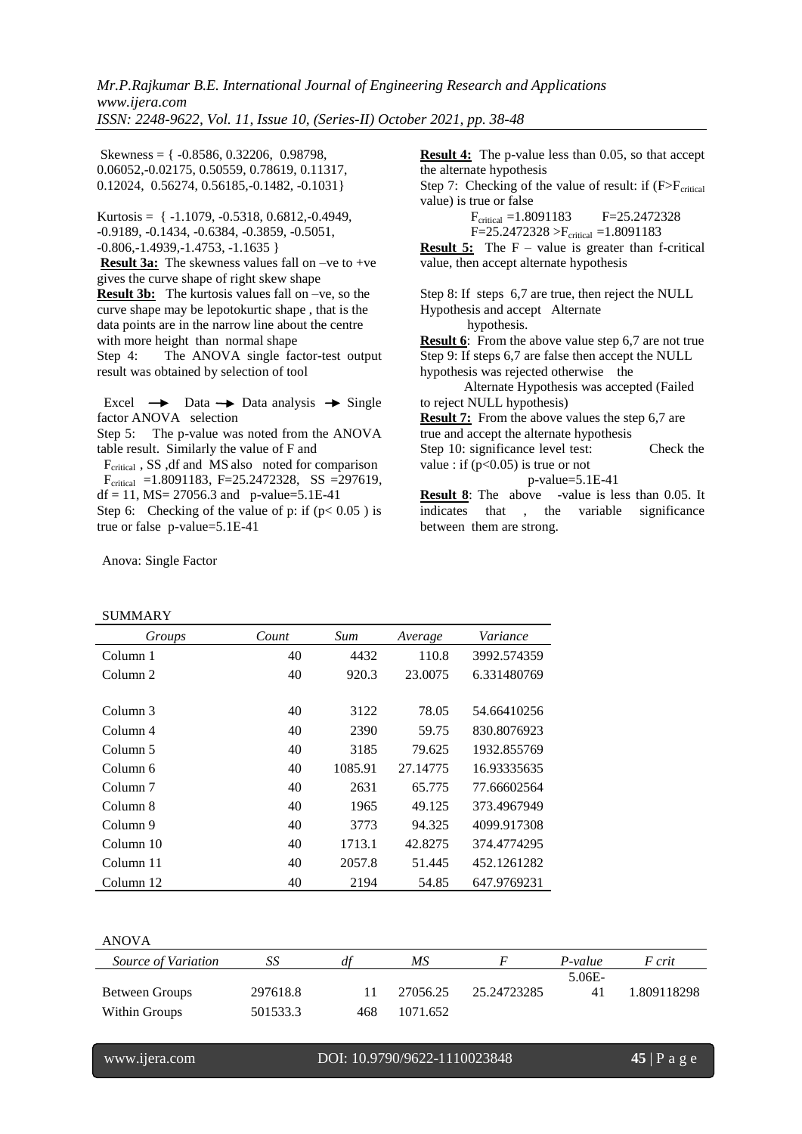Skewness = { -0.8586, 0.32206, 0.98798, 0.06052,-0.02175, 0.50559, 0.78619, 0.11317, 0.12024, 0.56274, 0.56185,-0.1482, -0.1031}

Kurtosis =  $\{-1.1079, -0.5318, 0.6812, -0.4949, \}$ -0.9189, -0.1434, -0.6384, -0.3859, -0.5051, -0.806,-1.4939,-1.4753, -1.1635 }

**Result 3a:** The skewness values fall on –ve to +ve gives the curve shape of right skew shape **Result 3b:** The kurtosis values fall on –ve, so the curve shape may be lepotokurtic shape , that is the data points are in the narrow line about the centre with more height than normal shape Step 4: The ANOVA single factor-test output

result was obtained by selection of tool

Excel  $\rightarrow$  Data  $\rightarrow$  Data analysis  $\rightarrow$  Single factor ANOVA selection

Step 5: The p-value was noted from the ANOVA table result. Similarly the value of F and

 $F_{\text{critical}}$ , SS, df and MS also noted for comparison  $F_{critical}$  =1.8091183, F=25.2472328, SS =297619,  $df = 11$ ,  $MS = 27056.3$  and p-value=5.1E-41

Step 6: Checking of the value of p: if  $(p < 0.05)$  is true or false p-value=5.1E-41

Anova: Single Factor

SUMMARY

Step 9: If steps 6,7 are false then accept the NULL hypothesis was rejected otherwise the Alternate Hypothesis was accepted (Failed to reject NULL hypothesis) **Result 7:** From the above values the step 6,7 are true and accept the alternate hypothesis Step 10: significance level test: Check the value : if  $(p<0.05)$  is true or not p-value=5.1E-41 **Result 8**: The above -value is less than 0.05. It indicates that , the variable significance between them are strong.

**Result 4:** The p-value less than 0.05, so that accept

Step 7: Checking of the value of result: if  $(F>F_{critical}$ 

Step 8: If steps 6,7 are true, then reject the NULL

**Result 6**: From the above value step 6,7 are not true

value, then accept alternate hypothesis

Hypothesis and accept Alternate hypothesis.

 $F_{critical} = 1.8091183$   $F = 25.2472328$  $F=25.2472328 > F_{critical} = 1.8091183$ **Result 5:** The F – value is greater than f-critical

the alternate hypothesis

value) is true or false

*Groups Count Sum Average Variance* Column 1 40 4432 110.8 3992.574359 Column 2 40 920.3 23.0075 6.331480769 Column 3 40 3122 78.05 54.66410256 Column 4 40 2390 59.75 830.8076923 Column 5 40 3185 79.625 1932.855769 Column 6 40 1085.91 27.14775 16.93335635 Column 7 40 2631 65.775 77.66602564 Column 8 40 1965 49.125 373.4967949 Column 9 40 3773 94.325 4099.917308 Column 10 40 1713.1 42.8275 374.4774295 Column 11 40 2057.8 51.445 452.1261282 Column 12 40 2194 54.85 647.9769231

ANOVA *Source of Variation SS df MS F P-value F crit* Between Groups 297618.8 11 27056.25 25.24723285 5.06E-41 1.809118298 Within Groups 501533.3 468 1071.652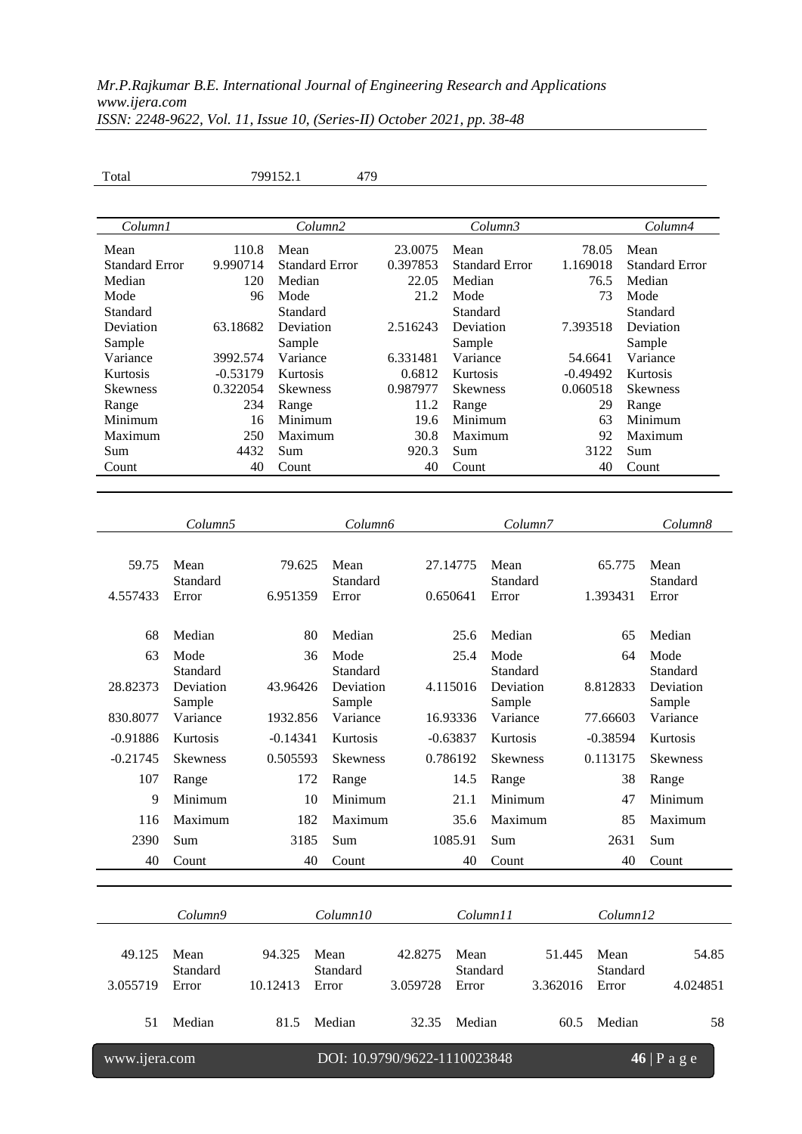| Total                                   |                        | 799152.1                       | 479                          |                              |                                         |                       |                           |                        |                                 |  |
|-----------------------------------------|------------------------|--------------------------------|------------------------------|------------------------------|-----------------------------------------|-----------------------|---------------------------|------------------------|---------------------------------|--|
|                                         |                        |                                |                              |                              |                                         |                       |                           |                        |                                 |  |
| Column1                                 |                        | Column2                        |                              |                              |                                         | Column3               |                           |                        | Column4                         |  |
| Mean<br><b>Standard Error</b><br>Median | 9.990714               | 110.8<br>Mean<br>Median<br>120 | <b>Standard Error</b>        | 23.0075<br>0.397853<br>22.05 | Mean<br><b>Standard Error</b><br>Median |                       | 78.05<br>1.169018<br>76.5 | Mean                   | <b>Standard Error</b><br>Median |  |
| Mode                                    |                        | 96<br>Mode                     |                              | 21.2                         | Mode                                    |                       | 73                        |                        | Mode                            |  |
| Standard                                |                        | Standard                       |                              |                              | Standard<br>Deviation                   |                       |                           |                        | Standard<br>Deviation           |  |
| Deviation                               | 63.18682               | Deviation                      |                              | 2.516243                     |                                         |                       | 7.393518                  |                        |                                 |  |
| Sample                                  |                        | Sample<br>Variance             |                              |                              | Sample<br>Variance                      |                       |                           |                        | Sample<br>Variance              |  |
| Variance<br>Kurtosis                    | 3992.574<br>$-0.53179$ | Kurtosis                       |                              | 0.6812                       | 6.331481                                |                       | 54.6641<br>$-0.49492$     | Kurtosis               |                                 |  |
|                                         |                        |                                |                              |                              | Kurtosis                                |                       |                           |                        |                                 |  |
| <b>Skewness</b>                         | 0.322054               | <b>Skewness</b>                |                              | 0.987977                     | <b>Skewness</b>                         |                       | 0.060518                  |                        | <b>Skewness</b>                 |  |
| Range<br>Minimum                        |                        | 234<br>Range<br>Minimum<br>16  |                              | 11.2<br>19.6                 | Range<br>Minimum                        |                       | 29<br>Range               |                        | Minimum                         |  |
| Maximum                                 |                        | 250<br>Maximum                 |                              | 30.8                         | Maximum                                 |                       | 63<br>92                  |                        |                                 |  |
| Sum                                     |                        | 4432<br>Sum                    |                              | 920.3                        | Sum                                     |                       |                           | Maximum<br>3122<br>Sum |                                 |  |
| Count                                   |                        | 40<br>Count                    |                              | 40                           | Count                                   |                       | 40                        |                        | Count                           |  |
|                                         |                        |                                |                              |                              |                                         |                       |                           |                        |                                 |  |
|                                         |                        |                                |                              |                              |                                         |                       |                           |                        |                                 |  |
|                                         | Column <sub>5</sub>    |                                | Column6                      |                              |                                         | Column7               |                           |                        | Column8                         |  |
|                                         |                        |                                |                              |                              |                                         |                       |                           |                        |                                 |  |
| 59.75                                   | Mean<br>Standard       | 79.625                         | Mean<br>Standard             |                              | 27.14775                                | Mean<br>Standard      |                           | 65.775                 | Mean<br>Standard                |  |
| 4.557433                                | Error                  | 6.951359                       | Error                        |                              | 0.650641                                | Error                 |                           | 1.393431               | Error                           |  |
| 68                                      | Median                 | 80                             | Median                       |                              | 25.6                                    | Median                |                           | 65                     | Median                          |  |
| 63                                      | Mode                   | 36                             | Mode                         |                              | 25.4                                    | Mode                  |                           | 64                     | Mode                            |  |
| 28.82373                                | Standard<br>Deviation  | 43.96426                       | Standard<br>Deviation        |                              | 4.115016                                | Standard<br>Deviation |                           | 8.812833               | Standard<br>Deviation           |  |
|                                         | Sample                 |                                | Sample                       |                              |                                         | Sample                |                           |                        | Sample                          |  |
| 830.8077                                | Variance               | 1932.856                       | Variance                     |                              | 16.93336                                | Variance              |                           | 77.66603               | Variance                        |  |
| $-0.91886$                              | Kurtosis               | $-0.14341$                     | Kurtosis                     |                              | $-0.63837$                              | Kurtosis              |                           | $-0.38594$             | Kurtosis                        |  |
| $-0.21745$                              | <b>Skewness</b>        | 0.505593                       | <b>Skewness</b>              |                              | 0.786192                                | <b>Skewness</b>       |                           | 0.113175               | <b>Skewness</b>                 |  |
| 107                                     | Range                  | 172                            | Range                        |                              | 14.5                                    | Range                 |                           | 38                     | Range                           |  |
| 9                                       | Minimum                | 10                             | Minimum                      |                              | 21.1                                    | Minimum               |                           | 47                     | Minimum                         |  |
| 116<br>2390                             | Maximum<br>Sum         | 182<br>3185                    | Maximum<br>Sum               |                              | 35.6<br>1085.91                         | Maximum<br>Sum        |                           | 85<br>2631             | Maximum<br>Sum                  |  |
| 40                                      | Count                  | 40                             | Count                        |                              | 40                                      | Count                 |                           | 40                     | Count                           |  |
|                                         |                        |                                |                              |                              |                                         |                       |                           |                        |                                 |  |
|                                         |                        |                                |                              |                              |                                         |                       |                           |                        |                                 |  |
|                                         | Column9                |                                | Column10                     |                              |                                         | Column11              |                           | Column12               |                                 |  |
| 49.125                                  | Mean                   | 94.325                         | Mean                         | 42.8275                      | Mean                                    |                       | 51.445                    | Mean                   | 54.85                           |  |
|                                         | Standard               |                                | Standard                     |                              | Standard                                |                       |                           | Standard               |                                 |  |
| 3.055719                                | Error                  | 10.12413                       | Error                        | 3.059728                     | Error                                   |                       | 3.362016                  | Error                  | 4.024851                        |  |
| 51                                      | Median                 | 81.5                           | Median                       | 32.35                        | Median                                  |                       | 60.5                      | Median                 | 58                              |  |
| www.ijera.com                           |                        |                                | DOI: 10.9790/9622-1110023848 |                              |                                         |                       |                           |                        | $46$   P a g e                  |  |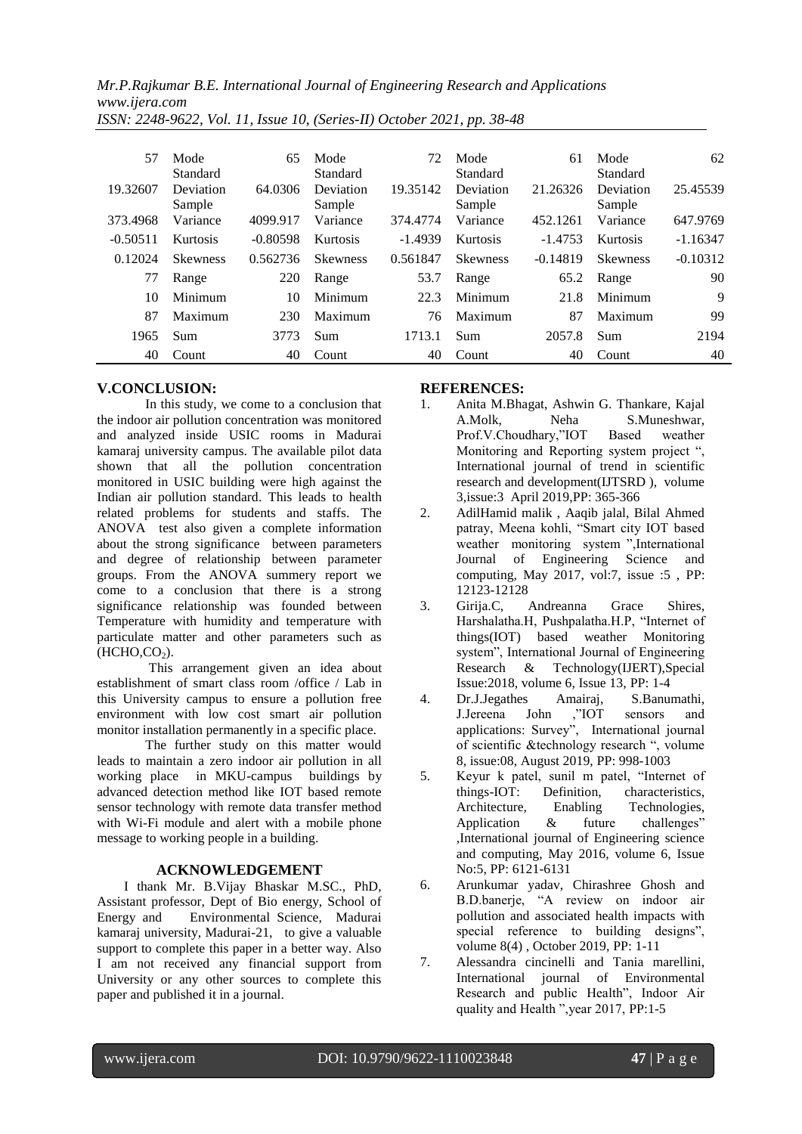| 57         | Mode            | 65         | Mode            | 72        | Mode            | 61         | Mode            | 62         |
|------------|-----------------|------------|-----------------|-----------|-----------------|------------|-----------------|------------|
|            | Standard        |            | Standard        |           | Standard        |            | Standard        |            |
| 19.32607   | Deviation       | 64.0306    | Deviation       | 19.35142  | Deviation       | 21.26326   | Deviation       | 25.45539   |
|            | Sample          |            | Sample          |           | Sample          |            | Sample          |            |
| 373.4968   | Variance        | 4099.917   | Variance        | 374,4774  | Variance        | 452.1261   | Variance        | 647.9769   |
| $-0.50511$ | Kurtosis        | $-0.80598$ | Kurtosis        | $-1.4939$ | Kurtosis        | $-1.4753$  | Kurtosis        | $-1.16347$ |
| 0.12024    | <b>Skewness</b> | 0.562736   | <b>Skewness</b> | 0.561847  | <b>Skewness</b> | $-0.14819$ | <b>Skewness</b> | $-0.10312$ |
| 77         | Range           | 220        | Range           | 53.7      | Range           | 65.2       | Range           | 90         |
| 10         | Minimum         | 10         | Minimum         | 22.3      | Minimum         | 21.8       | Minimum         | 9          |
| 87         | Maximum         | 230        | Maximum         | 76        | Maximum         | 87         | Maximum         | 99         |
| 1965       | Sum             | 3773       | <b>Sum</b>      | 1713.1    | Sum             | 2057.8     | Sum             | 2194       |
| 40         | Count           | 40         | Count           | 40        | Count           | 40         | Count           | 40         |

#### **V.CONCLUSION:**

In this study, we come to a conclusion that the indoor air pollution concentration was monitored and analyzed inside USIC rooms in Madurai kamaraj university campus. The available pilot data shown that all the pollution concentration monitored in USIC building were high against the Indian air pollution standard. This leads to health related problems for students and staffs. The ANOVA test also given a complete information about the strong significance between parameters and degree of relationship between parameter groups. From the ANOVA summery report we come to a conclusion that there is a strong significance relationship was founded between Temperature with humidity and temperature with particulate matter and other parameters such as  $(HCHO,CO<sub>2</sub>)$ .

This arrangement given an idea about establishment of smart class room /office / Lab in this University campus to ensure a pollution free environment with low cost smart air pollution monitor installation permanently in a specific place.

The further study on this matter would leads to maintain a zero indoor air pollution in all working place in MKU-campus buildings by advanced detection method like IOT based remote sensor technology with remote data transfer method with Wi-Fi module and alert with a mobile phone message to working people in a building.

#### **ACKNOWLEDGEMENT**

 I thank Mr. B.Vijay Bhaskar M.SC., PhD, Assistant professor, Dept of Bio energy, School of Energy and Environmental Science, Madurai kamaraj university, Madurai-21, to give a valuable support to complete this paper in a better way. Also I am not received any financial support from University or any other sources to complete this paper and published it in a journal.

#### **REFERENCES:**

- 1. Anita M.Bhagat, Ashwin G. Thankare, Kajal A.Molk, Neha S.Muneshwar, Prof.V.Choudhary,"IOT Based weather Monitoring and Reporting system project ", International journal of trend in scientific research and development(IJTSRD ), volume 3,issue:3 April 2019,PP: 365-366
- 2. AdilHamid malik , Aaqib jalal, Bilal Ahmed patray, Meena kohli, "Smart city IOT based weather monitoring system ",International Journal of Engineering Science and computing, May 2017, vol:7, issue :5 , PP: 12123-12128
- 3. Girija.C, Andreanna Grace Shires, Harshalatha.H, Pushpalatha.H.P, "Internet of things(IOT) based weather Monitoring system", International Journal of Engineering Research & Technology(IJERT),Special Issue:2018, volume 6, Issue 13, PP: 1-4
- 4. Dr.J.Jegathes Amairaj, S.Banumathi, J.Jereena John ,"IOT sensors and applications: Survey", International journal of scientific &technology research ", volume 8, issue:08, August 2019, PP: 998-1003
- 5. Keyur k patel, sunil m patel, "Internet of things-IOT: Definition, characteristics,<br>Architecture, Enabling Technologies, Architecture, Enabling Technologies, Application & future challenges" ,International journal of Engineering science and computing, May 2016, volume 6, Issue No:5, PP: 6121-6131
- 6. Arunkumar yadav, Chirashree Ghosh and B.D.banerje, "A review on indoor air pollution and associated health impacts with special reference to building designs", volume 8(4) , October 2019, PP: 1-11
- 7. Alessandra cincinelli and Tania marellini, International journal of Environmental Research and public Health", Indoor Air quality and Health ",year 2017, PP:1-5